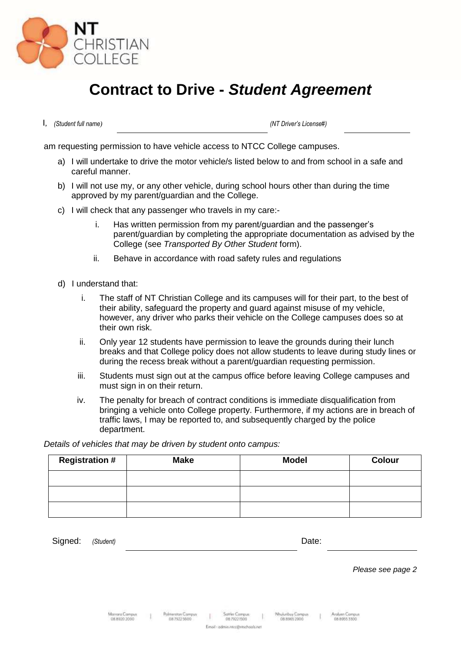

# **Contract to Drive -** *Student Agreement*

I, *(Student full name) (NT Driver's License#)*

am requesting permission to have vehicle access to NTCC College campuses.

- a) I will undertake to drive the motor vehicle/s listed below to and from school in a safe and careful manner.
- b) I will not use my, or any other vehicle, during school hours other than during the time approved by my parent/guardian and the College.
- c) I will check that any passenger who travels in my care:
	- i. Has written permission from my parent/guardian and the passenger's parent/guardian by completing the appropriate documentation as advised by the College (see *Transported By Other Student* form).
	- ii. Behave in accordance with road safety rules and regulations
- d) I understand that:
	- i. The staff of NT Christian College and its campuses will for their part, to the best of their ability, safeguard the property and guard against misuse of my vehicle, however, any driver who parks their vehicle on the College campuses does so at their own risk.
	- ii. Only year 12 students have permission to leave the grounds during their lunch breaks and that College policy does not allow students to leave during study lines or during the recess break without a parent/guardian requesting permission.
	- iii. Students must sign out at the campus office before leaving College campuses and must sign in on their return.
	- iv. The penalty for breach of contract conditions is immediate disqualification from bringing a vehicle onto College property. Furthermore, if my actions are in breach of traffic laws, I may be reported to, and subsequently charged by the police department.

*Details of vehicles that may be driven by student onto campus:*

| <b>Registration #</b> | <b>Make</b> | <b>Model</b> | Colour |
|-----------------------|-------------|--------------|--------|
|                       |             |              |        |
|                       |             |              |        |
|                       |             |              |        |

Signed: *(Student)* Date:

*Please see page 2*